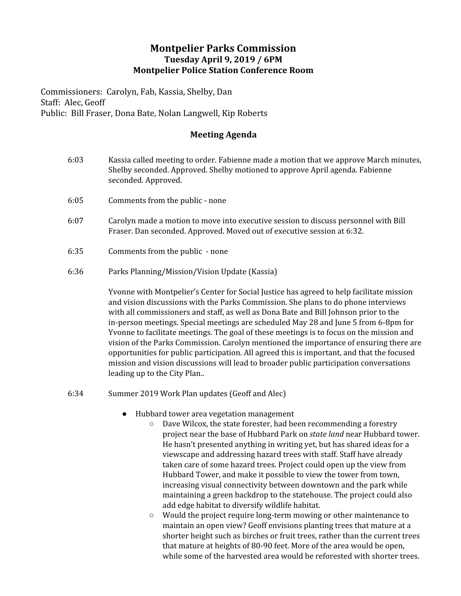## **Montpelier Parks Commission Tuesday April 9, 2019 / 6PM Montpelier Police Station Conference Room**

Commissioners: Carolyn, Fab, Kassia, Shelby, Dan Staff: Alec, Geoff Public: Bill Fraser, Dona Bate, Nolan Langwell, Kip Roberts

## **Meeting Agenda**

- 6:03 Kassia called meeting to order. Fabienne made a motion that we approve March minutes, Shelby seconded. Approved. Shelby motioned to approve April agenda. Fabienne seconded. Approved.
- 6:05 Comments from the public none
- 6:07 Carolyn made a motion to move into executive session to discuss personnel with Bill Fraser. Dan seconded. Approved. Moved out of executive session at 6:32.
- 6:35 Comments from the public none
- 6:36 Parks Planning/Mission/Vision Update (Kassia)

Yvonne with Montpelier's Center for Social Justice has agreed to help facilitate mission and vision discussions with the Parks Commission. She plans to do phone interviews with all commissioners and staff, as well as Dona Bate and Bill Johnson prior to the in-person meetings. Special meetings are scheduled May 28 and June 5 from 6-8pm for Yvonne to facilitate meetings. The goal of these meetings is to focus on the mission and vision of the Parks Commission. Carolyn mentioned the importance of ensuring there are opportunities for public participation. All agreed this is important, and that the focused mission and vision discussions will lead to broader public participation conversations leading up to the City Plan..

- 6:34 Summer 2019 Work Plan updates (Geoff and Alec)
	- Hubbard tower area vegetation management
		- Dave Wilcox, the state forester, had been recommending a forestry project near the base of Hubbard Park on *state land* near Hubbard tower. He hasn't presented anything in writing yet, but has shared ideas for a viewscape and addressing hazard trees with staff. Staff have already taken care of some hazard trees. Project could open up the view from Hubbard Tower, and make it possible to view the tower from town, increasing visual connectivity between downtown and the park while maintaining a green backdrop to the statehouse. The project could also add edge habitat to diversify wildlife habitat.
		- Would the project require long-term mowing or other maintenance to maintain an open view? Geoff envisions planting trees that mature at a shorter height such as birches or fruit trees, rather than the current trees that mature at heights of 80-90 feet. More of the area would be open, while some of the harvested area would be reforested with shorter trees.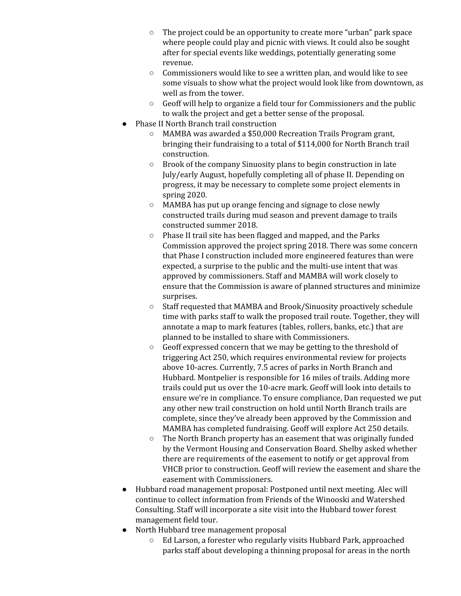- The project could be an opportunity to create more "urban" park space where people could play and picnic with views. It could also be sought after for special events like weddings, potentially generating some revenue.
- Commissioners would like to see a written plan, and would like to see some visuals to show what the project would look like from downtown, as well as from the tower.
- Geoff will help to organize a field tour for Commissioners and the public to walk the project and get a better sense of the proposal.
- Phase II North Branch trail construction
	- MAMBA was awarded a \$50,000 Recreation Trails Program grant, bringing their fundraising to a total of \$114,000 for North Branch trail construction.
	- Brook of the company Sinuosity plans to begin construction in late July/early August, hopefully completing all of phase II. Depending on progress, it may be necessary to complete some project elements in spring 2020.
	- MAMBA has put up orange fencing and signage to close newly constructed trails during mud season and prevent damage to trails constructed summer 2018.
	- Phase II trail site has been flagged and mapped, and the Parks Commission approved the project spring 2018. There was some concern that Phase I construction included more engineered features than were expected, a surprise to the public and the multi-use intent that was approved by commissioners. Staff and MAMBA will work closely to ensure that the Commission is aware of planned structures and minimize surprises.
	- Staff requested that MAMBA and Brook/Sinuosity proactively schedule time with parks staff to walk the proposed trail route. Together, they will annotate a map to mark features (tables, rollers, banks, etc.) that are planned to be installed to share with Commissioners.
	- Geoff expressed concern that we may be getting to the threshold of triggering Act 250, which requires environmental review for projects above 10-acres. Currently, 7.5 acres of parks in North Branch and Hubbard. Montpelier is responsible for 16 miles of trails. Adding more trails could put us over the 10-acre mark. Geoff will look into details to ensure we're in compliance. To ensure compliance, Dan requested we put any other new trail construction on hold until North Branch trails are complete, since they've already been approved by the Commission and MAMBA has completed fundraising. Geoff will explore Act 250 details.
	- The North Branch property has an easement that was originally funded by the Vermont Housing and Conservation Board. Shelby asked whether there are requirements of the easement to notify or get approval from VHCB prior to construction. Geoff will review the easement and share the easement with Commissioners.
- Hubbard road management proposal: Postponed until next meeting. Alec will continue to collect information from Friends of the Winooski and Watershed Consulting. Staff will incorporate a site visit into the Hubbard tower forest management field tour.
- North Hubbard tree management proposal
	- Ed Larson, a forester who regularly visits Hubbard Park, approached parks staff about developing a thinning proposal for areas in the north